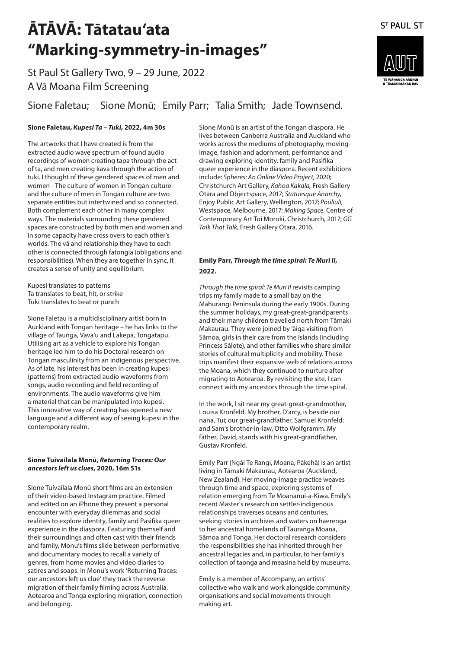St Paul St Gallery Two, 9 – 29 June, 2022 A Vā Moana Film Screening

### Sione Faletau; Sione Monū; Emily Parr; Talia Smith; Jade Townsend.

#### **Sione Faletau,** *Kupesi Ta – Tuki,* **2022, 4m 30s**

The artworks that I have created is from the extracted audio wave spectrum of found audio recordings of women creating tapa through the act of ta, and men creating kava through the action of tuki. I thought of these gendered spaces of men and women - The culture of women in Tongan culture and the culture of men in Tongan culture are two separate entities but intertwined and so connected. Both complement each other in many complex ways. The materials surrounding these gendered spaces are constructed by both men and women and in some capacity have cross overs to each other's worlds. The vā and relationship they have to each other is connected through fatongia (obligations and responsibilities). When they are together in sync, it creates a sense of unity and equilibrium.

Kupesi translates to patterns Ta translates to beat, hit, or strike Tuki translates to beat or punch

Sione Faletau is a multidisciplinary artist born in Auckland with Tongan heritage – he has links to the village of Taunga, Vava'u and Lakepa, Tongatapu. Utilising art as a vehicle to explore his Tongan heritage led him to do his Doctoral research on Tongan masculinity from an indigenous perspective. As of late, his interest has been in creating kupesi (patterns) from extracted audio waveforms from songs, audio recording and field recording of environments. The audio waveforms give him a material that can be manipulated into kupesi. This innovative way of creating has opened a new language and a different way of seeing kupesi in the contemporary realm.

#### **Sione Tuivailala Monū,** *Returning Traces: Our ancestors left us clues***, 2020, 16m 51s**

Sione Tuívailala Monū short films are an extension of their video-based Instagram practice. Filmed and edited on an iPhone they present a personal encounter with everyday dilemmas and social realities to explore identity, family and Pasifika queer experience in the diaspora. Featuring themself and their surroundings and often cast with their friends and family, Monu's films slide between performative and documentary modes to recall a variety of genres, from home movies and video diaries to satires and soaps. In Monu's work 'Returning Traces: our ancestors left us clue' they track the reverse migration of their family filming across Australia, Aotearoa and Tonga exploring migration, connection and belonging.

Sione Monū is an artist of the Tongan diaspora. He lives between Canberra Australia and Auckland who works across the mediums of photography, movingimage, fashion and adornment, performance and drawing exploring identity, family and Pasifika queer experience in the diaspora. Recent exhibitions include: *Spheres: An Online Video Project*, 2020; Christchurch Art Gallery, *Kahoa Kakala,* Fresh Gallery Otara and Objectspace, 2017; *Statuesque Anarchy*, Enjoy Public Art Gallery, Wellington, 2017; *Pouliuli*, Westspace, Melbourne, 2017; *Making Space*, Centre of Contemporary Art Toi Moroki, Christchurch, 2017; *GG Talk That Talk*, Fresh Gallery Ōtara, 2016.

#### **Emily Parr,** *Through the time spiral: Te Muri II***, 2022.**

*Through the time spiral: Te Muri II* revisits camping trips my family made to a small bay on the Mahurangi Peninsula during the early 1900s. During the summer holidays, my great-great-grandparents and their many children travelled north from Tāmaki Makaurau. They were joined by 'āiga visiting from Sāmoa, girls in their care from the Islands (including Princess Sālote), and other families who share similar stories of cultural multiplicity and mobility. These trips manifest their expansive web of relations across the Moana, which they continued to nurture after migrating to Aotearoa. By revisiting the site, I can connect with my ancestors through the time spiral.

In the work, I sit near my great-great-grandmother, Louisa Kronfeld. My brother, D'arcy, is beside our nana, Tui; our great-grandfather, Samuel Kronfeld; and Sam's brother-in-law, Otto Wolfgramm. My father, David, stands with his great-grandfather, Gustav Kronfeld.

Emily Parr (Ngāi Te Rangi, Moana, Pākehā) is an artist living in Tāmaki Makaurau, Aotearoa (Auckland, New Zealand). Her moving-image practice weaves through time and space, exploring systems of relation emerging from Te Moananui-a-Kiwa. Emily's recent Master's research on settler-indigenous relationships traverses oceans and centuries, seeking stories in archives and waters on haerenga to her ancestral homelands of Tauranga Moana, Sāmoa and Tonga. Her doctoral research considers the responsibilities she has inherited through her ancestral legacies and, in particular, to her family's collection of taonga and measina held by museums.

Emily is a member of Accompany, an artists' collective who walk and work alongside community organisations and social movements through making art.



**ST PAUL ST**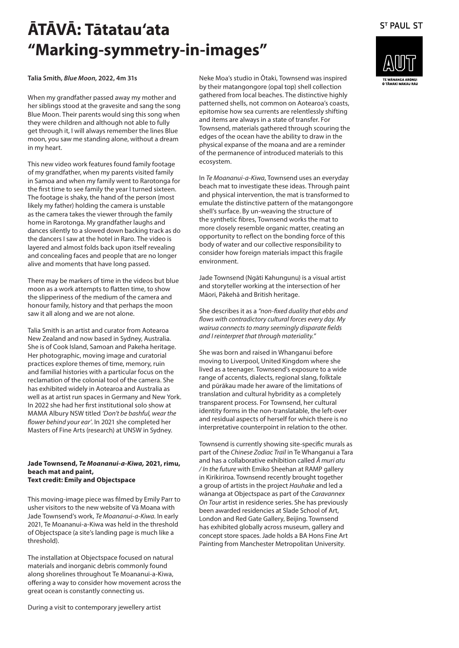**Talia Smith,** *Blue Moon***, 2022, 4m 31s**

When my grandfather passed away my mother and her siblings stood at the gravesite and sang the song Blue Moon. Their parents would sing this song when they were children and although not able to fully get through it, I will always remember the lines Blue moon, you saw me standing alone, without a dream in my heart.

This new video work features found family footage of my grandfather, when my parents visited family in Samoa and when my family went to Rarotonga for the first time to see family the year I turned sixteen. The footage is shaky, the hand of the person (most likely my father) holding the camera is unstable as the camera takes the viewer through the family home in Rarotonga. My grandfather laughs and dances silently to a slowed down backing track as do the dancers I saw at the hotel in Raro. The video is layered and almost folds back upon itself revealing and concealing faces and people that are no longer alive and moments that have long passed.

There may be markers of time in the videos but blue moon as a work attempts to flatten time, to show the slipperiness of the medium of the camera and honour family, history and that perhaps the moon saw it all along and we are not alone.

Talia Smith is an artist and curator from Aotearoa New Zealand and now based in Sydney, Australia. She is of Cook Island, Samoan and Pakeha heritage. Her photographic, moving image and curatorial practices explore themes of time, memory, ruin and familial histories with a particular focus on the reclamation of the colonial tool of the camera. She has exhibited widely in Aotearoa and Australia as well as at artist run spaces in Germany and New York. In 2022 she had her first institutional solo show at MAMA Albury NSW titled *'Don't be bashful, wear the flower behind your ear'*. In 2021 she completed her Masters of Fine Arts (research) at UNSW in Sydney.

#### **Jade Townsend,** *Te Moananui-a-Kiwa,* **2021, rimu, beach mat and paint, Text credit: Emily and Objectspace**

This moving-image piece was filmed by Emily Parr to usher visitors to the new website of Vā Moana with Jade Townsend's work, *Te Moananui-a-Kiwa.* In early 2021, Te Moananui-a-Kiwa was held in the threshold of Objectspace (a site's landing page is much like a threshold).

The installation at Objectspace focused on natural materials and inorganic debris commonly found along shorelines throughout Te Moananui-a-Kiwa, offering a way to consider how movement across the great ocean is constantly connecting us.

During a visit to contemporary jewellery artist

Neke Moa's studio in Ōtaki, Townsend was inspired by their matangongore (opal top) shell collection gathered from local beaches. The distinctive highly patterned shells, not common on Aotearoa's coasts, epitomise how sea currents are relentlessly shifting and items are always in a state of transfer. For Townsend, materials gathered through scouring the edges of the ocean have the ability to draw in the physical expanse of the moana and are a reminder of the permanence of introduced materials to this ecosystem.

In *Te Moananui-a-Kiwa*, Townsend uses an everyday beach mat to investigate these ideas. Through paint and physical intervention, the mat is transformed to emulate the distinctive pattern of the matangongore shell's surface. By un-weaving the structure of the synthetic fibres, Townsend works the mat to more closely resemble organic matter, creating an opportunity to reflect on the bonding force of this body of water and our collective responsibility to consider how foreign materials impact this fragile environment.

Jade Townsend (Ngāti Kahungunu) is a visual artist and storyteller working at the intersection of her Māori, Pākehā and British heritage.

She describes it as a *"non-fixed duality that ebbs and flows with contradictory cultural forces every day. My wairua connects to many seemingly disparate fields and I reinterpret that through materiality."*

She was born and raised in Whanganui before moving to Liverpool, United Kingdom where she lived as a teenager. Townsend's exposure to a wide range of accents, dialects, regional slang, folktale and pūrākau made her aware of the limitations of translation and cultural hybridity as a completely transparent process. For Townsend, her cultural identity forms in the non-translatable, the left-over and residual aspects of herself for which there is no interpretative counterpoint in relation to the other.

Townsend is currently showing site-specific murals as part of the *Chinese Zodiac Trail* in Te Whanganui a Tara and has a collaborative exhibition called *Ā muri atu / In the future* with Emiko Sheehan at RAMP gallery in Kirikiriroa. Townsend recently brought together a group of artists in the project *Hauhake* and led a wānanga at Objectspace as part of the *Caravannex On Tour* artist in residence series. She has previously been awarded residencies at Slade School of Art, London and Red Gate Gallery, Beijing. Townsend has exhibited globally across museum, gallery and concept store spaces. Jade holds a BA Hons Fine Art Painting from Manchester Metropolitan University.



**ST PAUL ST**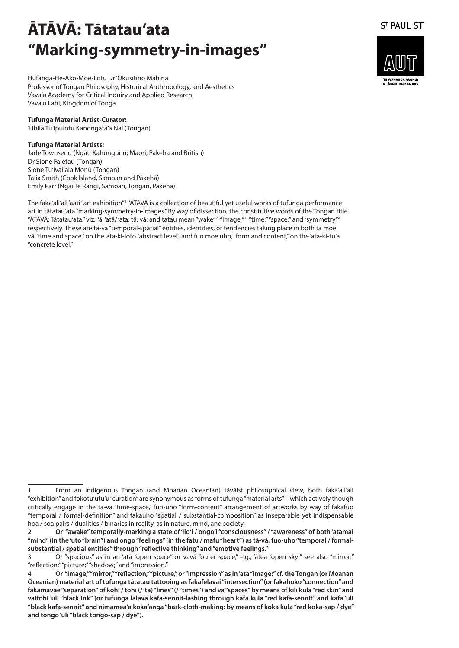Hūfanga-He-Ako-Moe-Lotu Dr 'Ōkusitino Māhina Professor of Tongan Philosophy, Historical Anthropology, and Aesthetics Vava'u Academy for Critical Inquiry and Applied Research Vava'u Lahi, Kingdom of Tonga

#### **Tufunga Material Artist-Curator:**

'Uhila Tu'ipulotu Kanongata'a Nai (Tongan)

#### **Tufunga Material Artists:**

Jade Townsend (Ngāti Kahungunu; Maori, Pakeha and British) Dr Sione Faletau (Tongan) Sione Tu'ivailala Monū (Tongan) Talia Smith (Cook Island, Samoan and Pākehā) Emily Parr (Ngāi Te Rangi, Sāmoan, Tongan, Pākehā)

The faka'ali'ali 'aati "art exhibition"1 'ĀTĀVĀ is a collection of beautiful yet useful works of tufunga performance art in tātatau'ata "marking-symmetry-in-images." By way of dissection, the constitutive words of the Tongan title "ĀTĀVĀ: Tātatau'ata," viz., 'ā; 'atā/'ata; tā; vā; and tatau mean "wake" $^{\rm 2}$  "image;" $^{\rm 3}$  "time;""space;" and "symmetry" $^{\rm 4}$  $\overline{a}$ respectively. These are tā-vā "temporal-spatial" entities, identities, or tendencies taking place in both tā moe vā "time and space," on the 'ata-ki-loto "abstract level," and fuo moe uho, "form and content," on the 'ata-ki-tu'a "concrete level."



<sup>1</sup> From an Indigenous Tongan (and Moanan Oceanian) tāvāist philosophical view, both faka'ali'ali "exhibition" and fokotu'utu'u "curation" are synonymous as forms of tufunga "material arts" – which actively though critically engage in the tā-vā "time-space," fuo-uho "form-content" arrangement of artworks by way of fakafuo "temporal / formal-definition" and fakauho "spatial / substantial-composition" as inseparable yet indispensable hoa / soa pairs / dualities / binaries in reality, as in nature, mind, and society.

**<sup>2</sup> Or "awake" temporally-marking a state of 'ilo'i / ongo'i "consciousness" / "awareness" of both 'atamai "mind" (in the 'uto "brain") and ongo "feelings" (in the fatu / mafu "heart") as tā-vā, fuo-uho "temporal / formalsubstantial / spatial entities" through "reflective thinking" and "emotive feelings."**

<sup>3</sup> Or "spacious" as in an 'atā "open space" or vavā "outer space," e.g., 'ātea "open sky;" see also "mirror:" "reflection;" "picture;" "shadow;" and "impression."

**<sup>4</sup> Or "image," "mirror," "reflection," "picture," or "impression" as in 'ata "image;" cf. the Tongan (or Moanan Oceanian) material art of tufunga tātatau tattooing as fakafelavai "intersection" (or fakahoko "connection" and fakamāvae "separation" of kohi / tohi (/ 'tā) "lines" (/ "times") and vā "spaces" by means of kili kula "red skin" and vaitohi 'uli "black ink" (or tufunga lalava kafa-sennit-lashing through kafa kula "red kafa-sennit" and kafa 'uli "black kafa-sennit" and nimamea'a koka'anga "bark-cloth-making: by means of koka kula "red koka-sap / dye" and tongo 'uli "black tongo-sap / dye").**